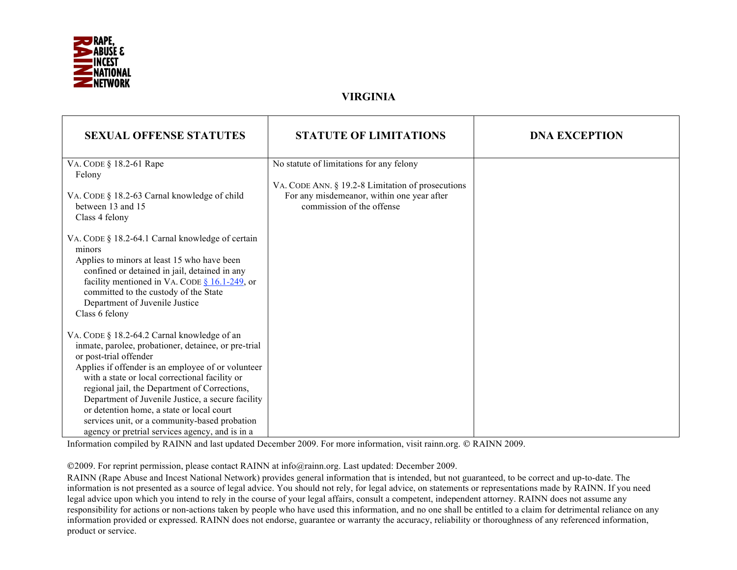

## **VIRGINIA**

| <b>SEXUAL OFFENSE STATUTES</b>                                               | <b>STATUTE OF LIMITATIONS</b>                                                                   | <b>DNA EXCEPTION</b> |
|------------------------------------------------------------------------------|-------------------------------------------------------------------------------------------------|----------------------|
| VA. CODE § 18.2-61 Rape                                                      | No statute of limitations for any felony                                                        |                      |
| Felony                                                                       |                                                                                                 |                      |
| VA. CODE § 18.2-63 Carnal knowledge of child                                 | VA. CODE ANN. § 19.2-8 Limitation of prosecutions<br>For any misdemeanor, within one year after |                      |
| between 13 and 15                                                            | commission of the offense                                                                       |                      |
| Class 4 felony                                                               |                                                                                                 |                      |
|                                                                              |                                                                                                 |                      |
| VA. CODE § 18.2-64.1 Carnal knowledge of certain<br>minors                   |                                                                                                 |                      |
| Applies to minors at least 15 who have been                                  |                                                                                                 |                      |
| confined or detained in jail, detained in any                                |                                                                                                 |                      |
| facility mentioned in VA. CODE $§$ 16.1-249, or                              |                                                                                                 |                      |
| committed to the custody of the State<br>Department of Juvenile Justice      |                                                                                                 |                      |
| Class 6 felony                                                               |                                                                                                 |                      |
|                                                                              |                                                                                                 |                      |
| VA. CODE § 18.2-64.2 Carnal knowledge of an                                  |                                                                                                 |                      |
| inmate, parolee, probationer, detainee, or pre-trial                         |                                                                                                 |                      |
| or post-trial offender<br>Applies if offender is an employee of or volunteer |                                                                                                 |                      |
| with a state or local correctional facility or                               |                                                                                                 |                      |
| regional jail, the Department of Corrections,                                |                                                                                                 |                      |
| Department of Juvenile Justice, a secure facility                            |                                                                                                 |                      |
| or detention home, a state or local court                                    |                                                                                                 |                      |
| services unit, or a community-based probation                                |                                                                                                 |                      |
| agency or pretrial services agency, and is in a                              |                                                                                                 |                      |

Information compiled by RAINN and last updated December 2009. For more information, visit rainn.org. © RAINN 2009.

2009. For reprint permission, please contact RAINN at info@rainn.org. Last updated: December 2009.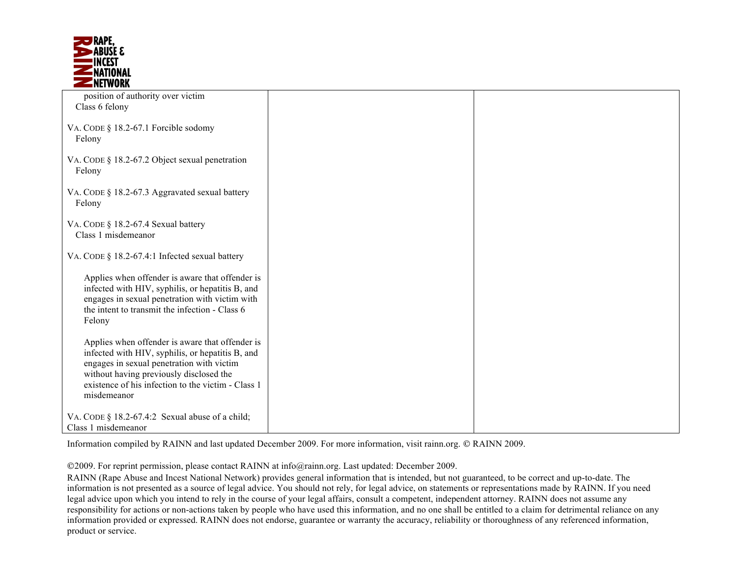

| position of authority over victim                                                                                                                                                                                                                                |  |
|------------------------------------------------------------------------------------------------------------------------------------------------------------------------------------------------------------------------------------------------------------------|--|
| Class 6 felony                                                                                                                                                                                                                                                   |  |
| VA. CODE § 18.2-67.1 Forcible sodomy<br>Felony                                                                                                                                                                                                                   |  |
| VA. CODE § 18.2-67.2 Object sexual penetration<br>Felony                                                                                                                                                                                                         |  |
| VA. CODE § 18.2-67.3 Aggravated sexual battery<br>Felony                                                                                                                                                                                                         |  |
| VA. CODE § 18.2-67.4 Sexual battery<br>Class 1 misdemeanor                                                                                                                                                                                                       |  |
| VA. CODE § 18.2-67.4:1 Infected sexual battery                                                                                                                                                                                                                   |  |
| Applies when offender is aware that offender is<br>infected with HIV, syphilis, or hepatitis B, and<br>engages in sexual penetration with victim with<br>the intent to transmit the infection - Class 6<br>Felony                                                |  |
| Applies when offender is aware that offender is<br>infected with HIV, syphilis, or hepatitis B, and<br>engages in sexual penetration with victim<br>without having previously disclosed the<br>existence of his infection to the victim - Class 1<br>misdemeanor |  |
| VA. CODE § 18.2-67.4:2 Sexual abuse of a child;<br>Class 1 misdemeanor                                                                                                                                                                                           |  |

Information compiled by RAINN and last updated December 2009. For more information, visit rainn.org. © RAINN 2009.

2009. For reprint permission, please contact RAINN at info@rainn.org. Last updated: December 2009.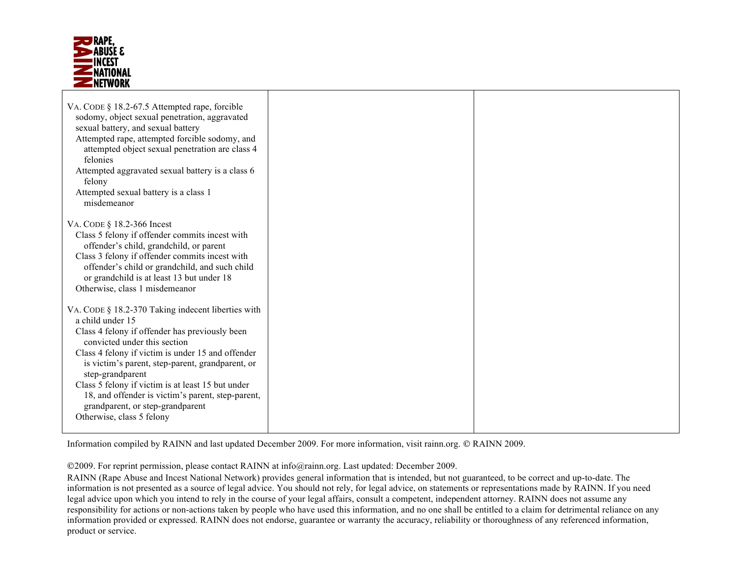

| VA. CODE § 18.2-67.5 Attempted rape, forcible<br>sodomy, object sexual penetration, aggravated<br>sexual battery, and sexual battery<br>Attempted rape, attempted forcible sodomy, and<br>attempted object sexual penetration are class 4<br>felonies<br>Attempted aggravated sexual battery is a class 6<br>felony<br>Attempted sexual battery is a class 1<br>misdemeanor                                                                                      |  |
|------------------------------------------------------------------------------------------------------------------------------------------------------------------------------------------------------------------------------------------------------------------------------------------------------------------------------------------------------------------------------------------------------------------------------------------------------------------|--|
| VA. CODE § 18.2-366 Incest<br>Class 5 felony if offender commits incest with<br>offender's child, grandchild, or parent<br>Class 3 felony if offender commits incest with<br>offender's child or grandchild, and such child<br>or grandchild is at least 13 but under 18<br>Otherwise, class 1 misdemeanor                                                                                                                                                       |  |
| VA. CODE § 18.2-370 Taking indecent liberties with<br>a child under 15<br>Class 4 felony if offender has previously been<br>convicted under this section<br>Class 4 felony if victim is under 15 and offender<br>is victim's parent, step-parent, grandparent, or<br>step-grandparent<br>Class 5 felony if victim is at least 15 but under<br>18, and offender is victim's parent, step-parent,<br>grandparent, or step-grandparent<br>Otherwise, class 5 felony |  |

Information compiled by RAINN and last updated December 2009. For more information, visit rainn.org. © RAINN 2009.

2009. For reprint permission, please contact RAINN at info@rainn.org. Last updated: December 2009.